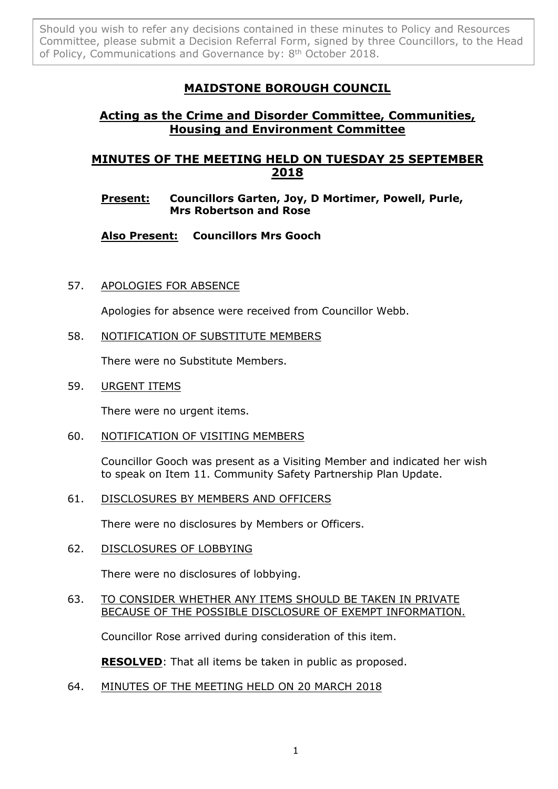Should you wish to refer any decisions contained in these minutes to Policy and Resources Committee, please submit a Decision Referral Form, signed by three Councillors, to the Head of Policy, Communications and Governance by: 8<sup>th</sup> October 2018.

# **MAIDSTONE BOROUGH COUNCIL**

## **Acting as the Crime and Disorder Committee, Communities, Housing and Environment Committee**

## **MINUTES OF THE MEETING HELD ON TUESDAY 25 SEPTEMBER 2018**

### **Present: Councillors Garten, Joy, D Mortimer, Powell, Purle, Mrs Robertson and Rose**

**Also Present: Councillors Mrs Gooch**

57. APOLOGIES FOR ABSENCE

Apologies for absence were received from Councillor Webb.

58. NOTIFICATION OF SUBSTITUTE MEMBERS

There were no Substitute Members.

59. URGENT ITEMS

There were no urgent items.

60. NOTIFICATION OF VISITING MEMBERS

Councillor Gooch was present as a Visiting Member and indicated her wish to speak on Item 11. Community Safety Partnership Plan Update.

61. DISCLOSURES BY MEMBERS AND OFFICERS

There were no disclosures by Members or Officers.

62. DISCLOSURES OF LOBBYING

There were no disclosures of lobbying.

63. TO CONSIDER WHETHER ANY ITEMS SHOULD BE TAKEN IN PRIVATE BECAUSE OF THE POSSIBLE DISCLOSURE OF EXEMPT INFORMATION.

Councillor Rose arrived during consideration of this item.

**RESOLVED**: That all items be taken in public as proposed.

64. MINUTES OF THE MEETING HELD ON 20 MARCH 2018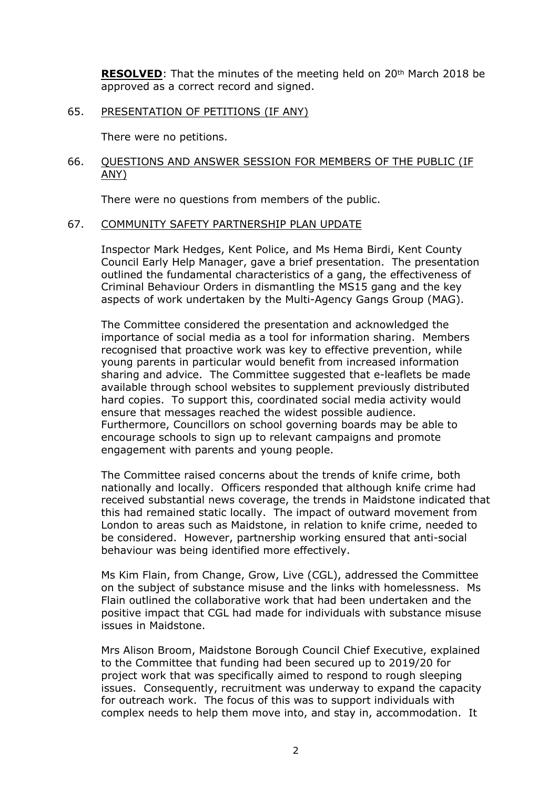**RESOLVED**: That the minutes of the meeting held on 20<sup>th</sup> March 2018 be approved as a correct record and signed.

#### 65. PRESENTATION OF PETITIONS (IF ANY)

There were no petitions.

#### 66. QUESTIONS AND ANSWER SESSION FOR MEMBERS OF THE PUBLIC (IF ANY)

There were no questions from members of the public.

#### 67. COMMUNITY SAFETY PARTNERSHIP PLAN UPDATE

Inspector Mark Hedges, Kent Police, and Ms Hema Birdi, Kent County Council Early Help Manager, gave a brief presentation. The presentation outlined the fundamental characteristics of a gang, the effectiveness of Criminal Behaviour Orders in dismantling the MS15 gang and the key aspects of work undertaken by the Multi-Agency Gangs Group (MAG).

The Committee considered the presentation and acknowledged the importance of social media as a tool for information sharing. Members recognised that proactive work was key to effective prevention, while young parents in particular would benefit from increased information sharing and advice. The Committee suggested that e-leaflets be made available through school websites to supplement previously distributed hard copies. To support this, coordinated social media activity would ensure that messages reached the widest possible audience. Furthermore, Councillors on school governing boards may be able to encourage schools to sign up to relevant campaigns and promote engagement with parents and young people.

The Committee raised concerns about the trends of knife crime, both nationally and locally. Officers responded that although knife crime had received substantial news coverage, the trends in Maidstone indicated that this had remained static locally. The impact of outward movement from London to areas such as Maidstone, in relation to knife crime, needed to be considered. However, partnership working ensured that anti-social behaviour was being identified more effectively.

Ms Kim Flain, from Change, Grow, Live (CGL), addressed the Committee on the subject of substance misuse and the links with homelessness. Ms Flain outlined the collaborative work that had been undertaken and the positive impact that CGL had made for individuals with substance misuse issues in Maidstone.

Mrs Alison Broom, Maidstone Borough Council Chief Executive, explained to the Committee that funding had been secured up to 2019/20 for project work that was specifically aimed to respond to rough sleeping issues. Consequently, recruitment was underway to expand the capacity for outreach work. The focus of this was to support individuals with complex needs to help them move into, and stay in, accommodation. It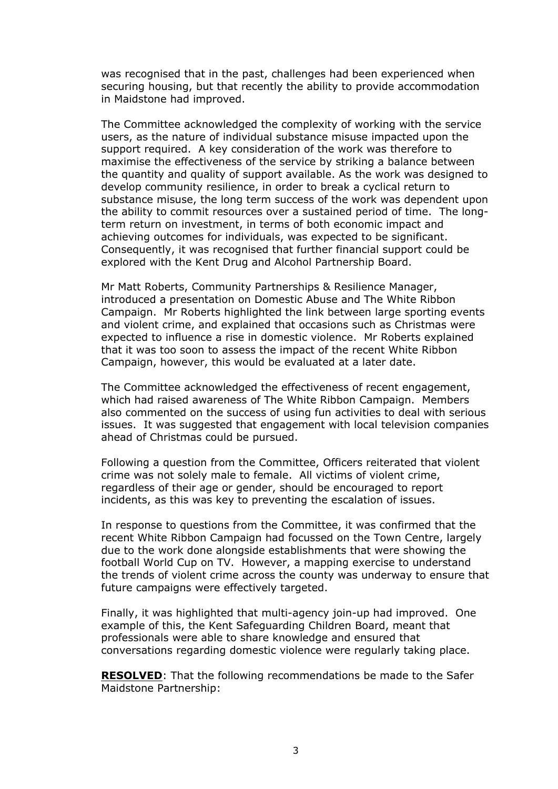was recognised that in the past, challenges had been experienced when securing housing, but that recently the ability to provide accommodation in Maidstone had improved.

The Committee acknowledged the complexity of working with the service users, as the nature of individual substance misuse impacted upon the support required. A key consideration of the work was therefore to maximise the effectiveness of the service by striking a balance between the quantity and quality of support available. As the work was designed to develop community resilience, in order to break a cyclical return to substance misuse, the long term success of the work was dependent upon the ability to commit resources over a sustained period of time. The longterm return on investment, in terms of both economic impact and achieving outcomes for individuals, was expected to be significant. Consequently, it was recognised that further financial support could be explored with the Kent Drug and Alcohol Partnership Board.

Mr Matt Roberts, Community Partnerships & Resilience Manager, introduced a presentation on Domestic Abuse and The White Ribbon Campaign. Mr Roberts highlighted the link between large sporting events and violent crime, and explained that occasions such as Christmas were expected to influence a rise in domestic violence. Mr Roberts explained that it was too soon to assess the impact of the recent White Ribbon Campaign, however, this would be evaluated at a later date.

The Committee acknowledged the effectiveness of recent engagement, which had raised awareness of The White Ribbon Campaign. Members also commented on the success of using fun activities to deal with serious issues. It was suggested that engagement with local television companies ahead of Christmas could be pursued.

Following a question from the Committee, Officers reiterated that violent crime was not solely male to female. All victims of violent crime, regardless of their age or gender, should be encouraged to report incidents, as this was key to preventing the escalation of issues.

In response to questions from the Committee, it was confirmed that the recent White Ribbon Campaign had focussed on the Town Centre, largely due to the work done alongside establishments that were showing the football World Cup on TV. However, a mapping exercise to understand the trends of violent crime across the county was underway to ensure that future campaigns were effectively targeted.

Finally, it was highlighted that multi-agency join-up had improved. One example of this, the Kent Safeguarding Children Board, meant that professionals were able to share knowledge and ensured that conversations regarding domestic violence were regularly taking place.

**RESOLVED**: That the following recommendations be made to the Safer Maidstone Partnership: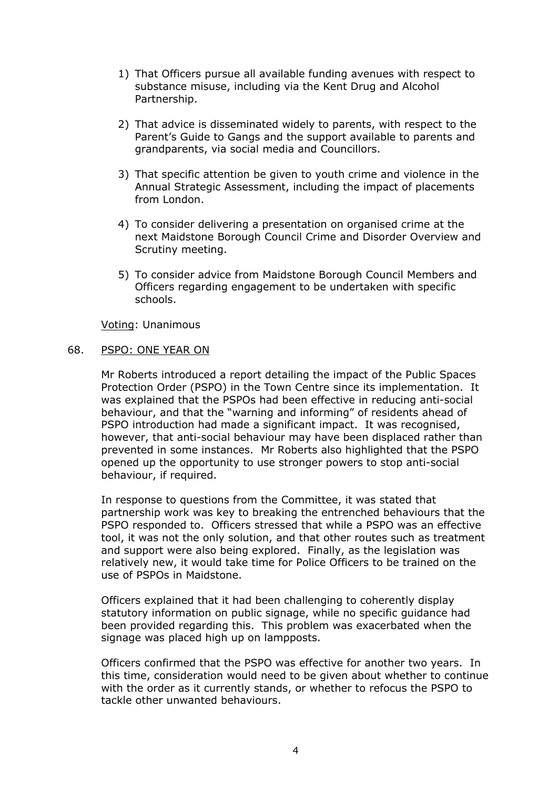- 1) That Officers pursue all available funding avenues with respect to substance misuse, including via the Kent Drug and Alcohol Partnership.
- 2) That advice is disseminated widely to parents, with respect to the Parent's Guide to Gangs and the support available to parents and grandparents, via social media and Councillors.
- 3) That specific attention be given to youth crime and violence in the Annual Strategic Assessment, including the impact of placements from London.
- 4) To consider delivering a presentation on organised crime at the next Maidstone Borough Council Crime and Disorder Overview and Scrutiny meeting.
- 5) To consider advice from Maidstone Borough Council Members and Officers regarding engagement to be undertaken with specific schools.

Voting: Unanimous

#### 68. PSPO: ONE YEAR ON

Mr Roberts introduced a report detailing the impact of the Public Spaces Protection Order (PSPO) in the Town Centre since its implementation. It was explained that the PSPOs had been effective in reducing anti-social behaviour, and that the "warning and informing" of residents ahead of PSPO introduction had made a significant impact. It was recognised, however, that anti-social behaviour may have been displaced rather than prevented in some instances. Mr Roberts also highlighted that the PSPO opened up the opportunity to use stronger powers to stop anti-social behaviour, if required.

In response to questions from the Committee, it was stated that partnership work was key to breaking the entrenched behaviours that the PSPO responded to. Officers stressed that while a PSPO was an effective tool, it was not the only solution, and that other routes such as treatment and support were also being explored. Finally, as the legislation was relatively new, it would take time for Police Officers to be trained on the use of PSPOs in Maidstone.

Officers explained that it had been challenging to coherently display statutory information on public signage, while no specific guidance had been provided regarding this. This problem was exacerbated when the signage was placed high up on lampposts.

Officers confirmed that the PSPO was effective for another two years. In this time, consideration would need to be given about whether to continue with the order as it currently stands, or whether to refocus the PSPO to tackle other unwanted behaviours.